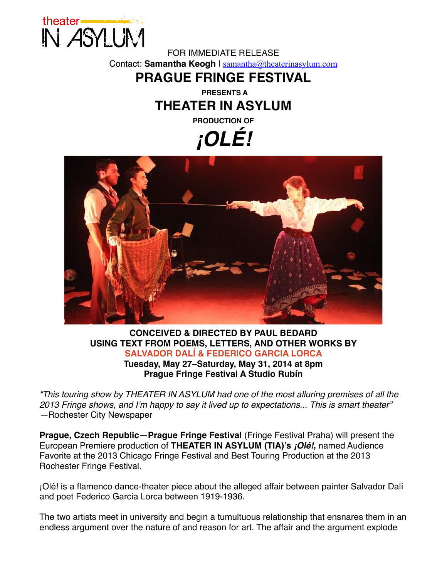

FOR IMMEDIATE RELEASE Contact: Samantha Keogh | [samantha@theaterinasylum.com](mailto:samantha@theaterinasylum.com)

### **PRAGUE FRINGE FESTIVAL**

**PRESENTS A THEATER IN ASYLUM**

**PRODUCTION OF**

### *¡OLÉ!*



#### **CONCEIVED & DIRECTED BY PAUL BEDARD USING TEXT FROM POEMS, LETTERS, AND OTHER WORKS BY SALVADOR DALÍ & FEDERICO GARCIA LORCA Tuesday, May 27–Saturday, May 31, 2014 at 8pm Prague Fringe Festival A Studio Rubín**

*"This touring show by THEATER IN ASYLUM had one of the most alluring premises of all the 2013 Fringe shows, and I'm happy to say it lived up to expectations... This is smart theater" —*Rochester City Newspaper

**Prague, Czech Republic—Prague Fringe Festival** (Fringe Festival Praha) will present the European Premiere production of **THEATER IN ASYLUM (TIA)'s** *¡Olé!***,** named Audience Favorite at the 2013 Chicago Fringe Festival and Best Touring Production at the 2013 Rochester Fringe Festival.

¡Olé! is a flamenco dance-theater piece about the alleged affair between painter Salvador Dalí and poet Federico Garcia Lorca between 1919-1936.

The two artists meet in university and begin a tumultuous relationship that ensnares them in an endless argument over the nature of and reason for art. The affair and the argument explode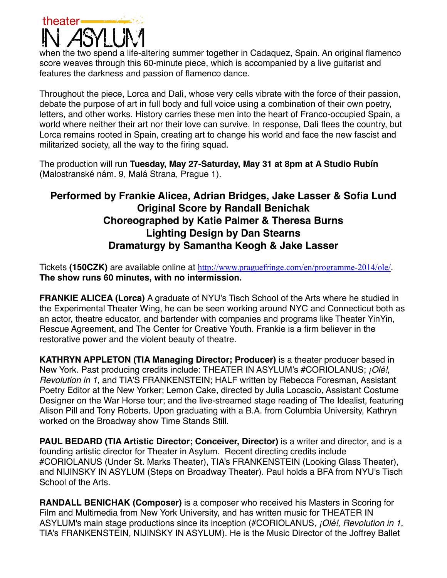# theater

when the two spend a life-altering summer together in Cadaquez, Spain. An original flamenco score weaves through this 60-minute piece, which is accompanied by a live guitarist and features the darkness and passion of flamenco dance.

Throughout the piece, Lorca and Dalì, whose very cells vibrate with the force of their passion, debate the purpose of art in full body and full voice using a combination of their own poetry, letters, and other works. History carries these men into the heart of Franco-occupied Spain, a world where neither their art nor their love can survive. In response, Dalì flees the country, but Lorca remains rooted in Spain, creating art to change his world and face the new fascist and militarized society, all the way to the firing squad.

The production will run **Tuesday, May 27-Saturday, May 31 at 8pm at A Studio Rubín** (Malostranské nám. 9, Malá Strana, Prague 1).

### **Performed by Frankie Alicea, Adrian Bridges, Jake Lasser & Sofia Lund Original Score by Randall Benichak Choreographed by Katie Palmer & Theresa Burns Lighting Design by Dan Stearns Dramaturgy by Samantha Keogh & Jake Lasser**

Tickets **(150CZK)** are available online at <http://www.praguefringe.com/en/programme-2014/ole/>. **The show runs 60 minutes, with no intermission.**

**FRANKIE ALICEA (Lorca)** A graduate of NYU's Tisch School of the Arts where he studied in the Experimental Theater Wing, he can be seen working around NYC and Connecticut both as an actor, theatre educator, and bartender with companies and programs like Theater YinYin, Rescue Agreement, and The Center for Creative Youth. Frankie is a firm believer in the restorative power and the violent beauty of theatre.

**KATHRYN APPLETON (TIA Managing Director; Producer)** is a theater producer based in New York. Past producing credits include: THEATER IN ASYLUM's #CORIOLANUS; *¡Olé!*, *Revolution in 1*, and TIA'S FRANKENSTEIN; HALF written by Rebecca Foresman, Assistant Poetry Editor at the New Yorker; Lemon Cake, directed by Julia Locascio, Assistant Costume Designer on the War Horse tour; and the live-streamed stage reading of The Idealist, featuring Alison Pill and Tony Roberts. Upon graduating with a B.A. from Columbia University, Kathryn worked on the Broadway show Time Stands Still.

**PAUL BEDARD (TIA Artistic Director; Conceiver, Director)** is a writer and director, and is a founding artistic director for Theater in Asylum. Recent directing credits include #CORIOLANUS (Under St. Marks Theater), TIA's FRANKENSTEIN (Looking Glass Theater), and NIJINSKY IN ASYLUM (Steps on Broadway Theater). Paul holds a BFA from NYU's Tisch School of the Arts.

**RANDALL BENICHAK (Composer)** is a composer who received his Masters in Scoring for Film and Multimedia from New York University, and has written music for THEATER IN ASYLUM's main stage productions since its inception (#CORIOLANUS*, ¡Olé!, Revolution in 1,*  TIA's FRANKENSTEIN*,* NIJINSKY IN ASYLUM). He is the Music Director of the Joffrey Ballet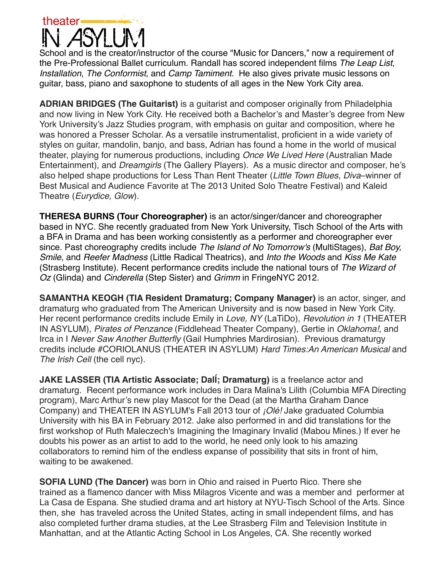

School and is the creator/instructor of the course "Music for Dancers," now a requirement of the Pre-Professional Ballet curriculum. Randall has scored independent films *The Leap List*, *Installation*, *The Conformist*, and *Camp Tamiment.* He also gives private music lessons on guitar, bass, piano and saxophone to students of all ages in the New York City area.

**ADRIAN BRIDGES (The Guitarist)** is a guitarist and composer originally from Philadelphia and now living in New York City. He received both a Bachelor's and Master's degree from New York University's Jazz Studies program, with emphasis on guitar and composition, where he was honored a Presser Scholar. As a versatile instrumentalist, proficient in a wide variety of styles on guitar, mandolin, banjo, and bass, Adrian has found a home in the world of musical theater, playing for numerous productions, including *Once We Lived Here* (Australian Made Entertainment), and *Dreamgirls* (The Gallery Players). As a music director and composer, he's also helped shape productions for Less Than Rent Theater (*Little Town Blues*, *Diva*–winner of Best Musical and Audience Favorite at The 2013 United Solo Theatre Festival) and Kaleid Theatre (*Eurydice, Glow*).

**THERESA BURNS (Tour Choreographer)** is an actor/singer/dancer and choreographer based in NYC. She recently graduated from New York University, Tisch School of the Arts with a BFA in Drama and has been working consistently as a performer and choreographer ever since. Past choreography credits include *The Island of No Tomorrow's* (MultiStages), *Bat Boy, Smile*, and *Reefer Madness* (Little Radical Theatrics), and *Into the Woods* and *Kiss Me Kate* (Strasberg Institute). Recent performance credits include the national tours of *The Wizard of Oz* (Glinda) and *Cinderella* (Step Sister) and *Grimm* in FringeNYC 2012.

**SAMANTHA KEOGH (TIA Resident Dramaturg; Company Manager)** is an actor, singer, and dramaturg who graduated from The American University and is now based in New York City. Her recent performance credits include Emily in *Love, NY* (LaTiDo), *Revolution in 1* (THEATER IN ASYLUM), *Pirates of Penzance* (Fiddlehead Theater Company), Gertie in *Oklahoma!*, and Irca in I *Never Saw Another Butterfly* (Gail Humphries Mardirosian). Previous dramaturgy credits include #CORIOLANUS (THEATER IN ASYLUM) *Hard Times:An American Musical* and *The Irish Cell* (the cell nyc).

**JAKE LASSER (TIA Artistic Associate; DalÍ; Dramaturg)** is a freelance actor and dramaturg. Recent performance work includes in Dara Malina's Lilith (Columbia MFA Directing program), Marc Arthur's new play Mascot for the Dead (at the Martha Graham Dance Company) and THEATER IN ASYLUM's Fall 2013 tour of *¡Olé!* Jake graduated Columbia University with his BA in February 2012. Jake also performed in and did translations for the first workshop of Ruth Maleczech's Imagining the Imaginary Invalid (Mabou Mines.) If ever he doubts his power as an artist to add to the world, he need only look to his amazing collaborators to remind him of the endless expanse of possibility that sits in front of him, waiting to be awakened.

**SOFIA LUND (The Dancer)** was born in Ohio and raised in Puerto Rico. There she trained as a flamenco dancer with Miss Milagros Vicente and was a member and performer at La Casa de Espana. She studied drama and art history at NYU-Tisch School of the Arts. Since then, she has traveled across the United States, acting in small independent films, and has also completed further drama studies, at the Lee Strasberg Film and Television Institute in Manhattan, and at the Atlantic Acting School in Los Angeles, CA. She recently worked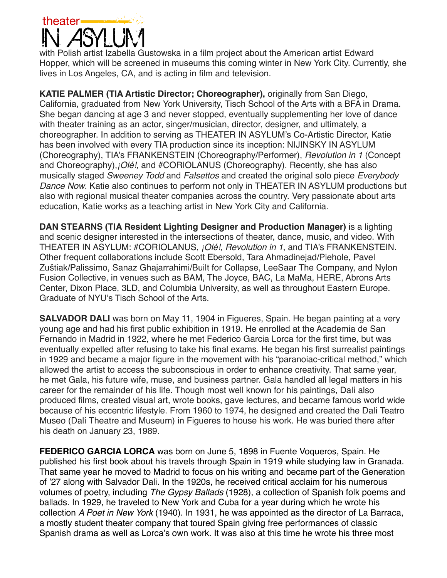# theater.

with Polish artist Izabella Gustowska in a film project about the American artist Edward Hopper, which will be screened in museums this coming winter in New York City. Currently, she lives in Los Angeles, CA, and is acting in film and television.

**KATIE PALMER (TIA Artistic Director; Choreographer),** originally from San Diego, California, graduated from New York University, Tisch School of the Arts with a BFA in Drama. She began dancing at age 3 and never stopped, eventually supplementing her love of dance with theater training as an actor, singer/musician, director, designer, and ultimately, a choreographer. In addition to serving as THEATER IN ASYLUM's Co-Artistic Director, Katie has been involved with every TIA production since its inception: NIJINSKY IN ASYLUM (Choreography), TIA's FRANKENSTEIN (Choreography/Performer), *Revolution in 1* (Concept and Choreography),*¡Olé!,* and #CORIOLANUS (Choreography). Recently, she has also musically staged *Sweeney Todd* and *Falsettos* and created the original solo piece *Everybody Dance Now*. Katie also continues to perform not only in THEATER IN ASYLUM productions but also with regional musical theater companies across the country. Very passionate about arts education, Katie works as a teaching artist in New York City and California.

**DAN STEARNS (TIA Resident Lighting Designer and Production Manager)** is a lighting and scenic designer interested in the intersections of theater, dance, music, and video. With THEATER IN ASYLUM: #CORIOLANUS, *¡Olé!*, *Revolution in 1*, and TIA's FRANKENSTEIN. Other frequent collaborations include Scott Ebersold, Tara Ahmadinejad/Piehole, Pavel Zuštiak/Palissimo, Sanaz Ghajarrahimi/Built for Collapse, LeeSaar The Company, and Nylon Fusion Collective, in venues such as BAM, The Joyce, BAC, La MaMa, HERE, Abrons Arts Center, Dixon Place, 3LD, and Columbia University, as well as throughout Eastern Europe. Graduate of NYU's Tisch School of the Arts.

**SALVADOR DALI** was born on May 11, 1904 in Figueres, Spain. He began painting at a very young age and had his first public exhibition in 1919. He enrolled at the Academia de San Fernando in Madrid in 1922, where he met Federico Garcia Lorca for the first time, but was eventually expelled after refusing to take his final exams. He began his first surrealist paintings in 1929 and became a major figure in the movement with his "paranoiac-critical method," which allowed the artist to access the subconscious in order to enhance creativity. That same year, he met Gala, his future wife, muse, and business partner. Gala handled all legal matters in his career for the remainder of his life. Though most well known for his paintings, Dalí also produced films, created visual art, wrote books, gave lectures, and became famous world wide because of his eccentric lifestyle. From 1960 to 1974, he designed and created the Dalí Teatro Museo (Dalí Theatre and Museum) in Figueres to house his work. He was buried there after his death on January 23, 1989.

**FEDERICO GARCIA LORCA** was born on June 5, 1898 in Fuente Voqueros, Spain. He published his first book about his travels through Spain in 1919 while studying law in Granada. That same year he moved to Madrid to focus on his writing and became part of the Generation of '27 along with Salvador Dali. In the 1920s, he received critical acclaim for his numerous volumes of poetry, including *The Gypsy Ballads* (1928), a collection of Spanish folk poems and ballads. In 1929, he traveled to New York and Cuba for a year during which he wrote his collection *A Poet in New York* (1940). In 1931, he was appointed as the director of La Barraca, a mostly student theater company that toured Spain giving free performances of classic Spanish drama as well as Lorca's own work. It was also at this time he wrote his three most